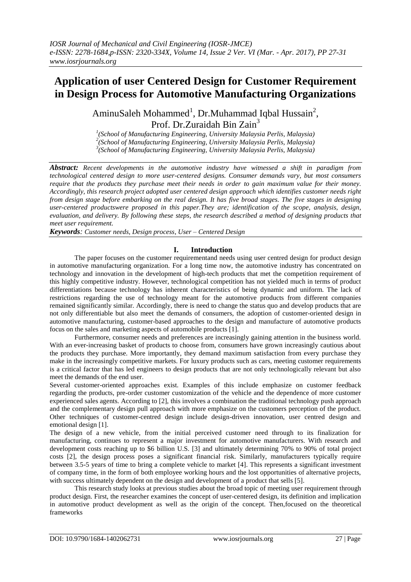# **Application of user Centered Design for Customer Requirement in Design Process for Automotive Manufacturing Organizations**

AminuSaleh Mohammed<sup>1</sup>, Dr.Muhammad Iqbal Hussain<sup>2</sup>, Prof. Dr. Zuraidah Bin Zain<sup>3</sup>

*1 (School of Manufacturing Engineering, University Malaysia Perlis, Malaysia) 2 (School of Manufacturing Engineering, University Malaysia Perlis, Malaysia) 3 (School of Manufacturing Engineering, University Malaysia Perlis, Malaysia)*

*Abstract: Recent developments in the automotive industry have witnessed a shift in paradigm from technological centered design to more user-centered designs. Consumer demands vary, but most consumers require that the products they purchase meet their needs in order to gain maximum value for their money. Accordingly, this research project adopted user centered design approach which identifies customer needs right from design stage before embarking on the real design. It has five broad stages. The five stages in designing user-centered productswere proposed in this paper.They are; identification of the scope, analysis, design, evaluation, and delivery. By following these steps, the research described a method of designing products that meet user requirement.*

*Keywords: Customer needs, Design process, User – Centered Design*

## **I. Introduction**

The paper focuses on the customer requirementand needs using user centred design for product design in automotive manufacturing organization. For a long time now, the automotive industry has concentrated on technology and innovation in the development of high-tech products that met the competition requirement of this highly competitive industry. However, technological competition has not yielded much in terms of product differentiations because technology has inherent characteristics of being dynamic and uniform. The lack of restrictions regarding the use of technology meant for the automotive products from different companies remained significantly similar. Accordingly, there is need to change the status quo and develop products that are not only differentiable but also meet the demands of consumers, the adoption of customer-oriented design in automotive manufacturing, customer-based approaches to the design and manufacture of automotive products focus on the sales and marketing aspects of automobile products [1].

Furthermore, consumer needs and preferences are increasingly gaining attention in the business world. With an ever-increasing basket of products to choose from, consumers have grown increasingly cautious about the products they purchase. More importantly, they demand maximum satisfaction from every purchase they make in the increasingly competitive markets. For luxury products such as cars, meeting customer requirements is a critical factor that has led engineers to design products that are not only technologically relevant but also meet the demands of the end user.

Several customer-oriented approaches exist. Examples of this include emphasize on customer feedback regarding the products, pre-order customer customization of the vehicle and the dependence of more customer experienced sales agents. According to [2], this involves a combination the traditional technology push approach and the complementary design pull approach with more emphasize on the customers perception of the product. Other techniques of customer-centred design include design-driven innovation, user centred design and emotional design [1].

The design of a new vehicle, from the initial perceived customer need through to its finalization for manufacturing, continues to represent a major investment for automotive manufacturers. With research and development costs reaching up to \$6 billion U.S. [3] and ultimately determining 70% to 90% of total project costs [2], the design process poses a significant financial risk. Similarly, manufacturers typically require between 3.5-5 years of time to bring a complete vehicle to market [4]. This represents a significant investment of company time, in the form of both employee working hours and the lost opportunities of alternative projects, with success ultimately dependent on the design and development of a product that sells [5].

This research study looks at previous studies about the broad topic of meeting user requirement through product design. First, the researcher examines the concept of user-centered design, its definition and implication in automotive product development as well as the origin of the concept. Then,focused on the theoretical frameworks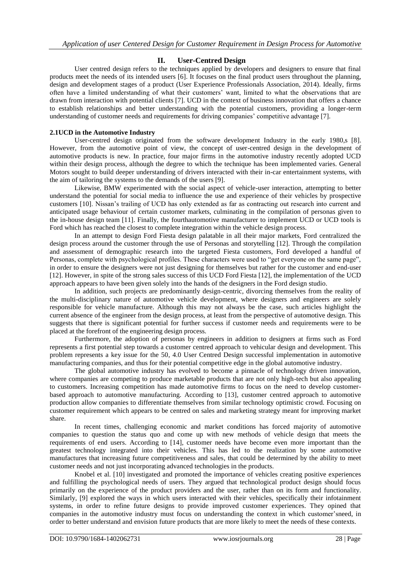## **II. User-Centred Design**

User centred design refers to the techniques applied by developers and designers to ensure that final products meet the needs of its intended users [6]. It focuses on the final product users throughout the planning, design and development stages of a product (User Experience Professionals Association, 2014). Ideally, firms often have a limited understanding of what their customers' want, limited to what the observations that are drawn from interaction with potential clients [7]. UCD in the context of business innovation that offers a chance to establish relationships and better understanding with the potential customers, providing a longer-term understanding of customer needs and requirements for driving companies' competitive advantage [7].

## **2.1UCD in the Automotive Industry**

User-centred design originated from the software development Industry in the early 1980,s [8]. However, from the automotive point of view, the concept of user-centred design in the development of automotive products is new. In practice, four major firms in the automotive industry recently adopted UCD within their design process, although the degree to which the technique has been implemented varies. General Motors sought to build deeper understanding of drivers interacted with their in-car entertainment systems, with the aim of tailoring the systems to the demands of the users [9].

Likewise, BMW experimented with the social aspect of vehicle-user interaction, attempting to better understand the potential for social media to influence the use and experience of their vehicles by prospective customers [10]. Nissan's trailing of UCD has only extended as far as contracting out research into current and anticipated usage behaviour of certain customer markets, culminating in the compilation of personas given to the in-house design team [11]. Finally, the fourthautomotive manufacturer to implement UCD or UCD tools is Ford which has reached the closest to complete integration within the vehicle design process.

In an attempt to design Ford Fiesta design palatable in all their major markets, Ford centralized the design process around the customer through the use of Personas and storytelling [12]. Through the compilation and assessment of demographic research into the targeted Fiesta customers, Ford developed a handful of Personas, complete with psychological profiles. These characters were used to "get everyone on the same page", in order to ensure the designers were not just designing for themselves but rather for the customer and end-user [12]. However, in spite of the strong sales success of this UCD Ford Fiesta [12], the implementation of the UCD approach appears to have been given solely into the hands of the designers in the Ford design studio.

In addition, such projects are predominantly design-centric, divorcing themselves from the reality of the multi-disciplinary nature of automotive vehicle development, where designers and engineers are solely responsible for vehicle manufacture. Although this may not always be the case, such articles highlight the current absence of the engineer from the design process, at least from the perspective of automotive design. This suggests that there is significant potential for further success if customer needs and requirements were to be placed at the forefront of the engineering design process.

Furthermore, the adoption of personas by engineers in addition to designers at firms such as Ford represents a first potential step towards a customer centred approach to vehicular design and development. This problem represents a key issue for the 50, 4.0 User Centred Design successful implementation in automotive manufacturing companies, and thus for their potential competitive edge in the global automotive industry.

The global automotive industry has evolved to become a pinnacle of technology driven innovation, where companies are competing to produce marketable products that are not only high-tech but also appealing to customers. Increasing competition has made automotive firms to focus on the need to develop customerbased approach to automotive manufacturing. According to [13], customer centred approach to automotive production allow companies to differentiate themselves from similar technology optimistic crowd. Focusing on customer requirement which appears to be centred on sales and marketing strategy meant for improving market share.

In recent times, challenging economic and market conditions has forced majority of automotive companies to question the status quo and come up with new methods of vehicle design that meets the requirements of end users. According to [14], customer needs have become even more important than the greatest technology integrated into their vehicles. This has led to the realization by some automotive manufactures that increasing future competitiveness and sales, that could be determined by the ability to meet customer needs and not just incorporating advanced technologies in the products.

Knobel et al. [10] investigated and promoted the importance of vehicles creating positive experiences and fulfilling the psychological needs of users. They argued that technological product design should focus primarily on the experience of the product providers and the user, rather than on its form and functionality. Similarly, [9] explored the ways in which users interacted with their vehicles, specifically their infotainment systems, in order to refine future designs to provide improved customer experiences. They opined that companies in the automotive industry must focus on understanding the context in which customer'sneed, in order to better understand and envision future products that are more likely to meet the needs of these contexts.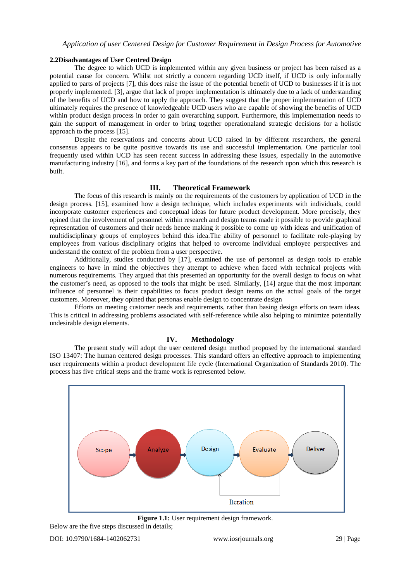## **2.2Disadvantages of User Centred Design**

The degree to which UCD is implemented within any given business or project has been raised as a potential cause for concern. Whilst not strictly a concern regarding UCD itself, if UCD is only informally applied to parts of projects [7], this does raise the issue of the potential benefit of UCD to businesses if it is not properly implemented. [3], argue that lack of proper implementation is ultimately due to a lack of understanding of the benefits of UCD and how to apply the approach. They suggest that the proper implementation of UCD ultimately requires the presence of knowledgeable UCD users who are capable of showing the benefits of UCD within product design process in order to gain overarching support. Furthermore, this implementation needs to gain the support of management in order to bring together operationaland strategic decisions for a holistic approach to the process [15].

Despite the reservations and concerns about UCD raised in by different researchers, the general consensus appears to be quite positive towards its use and successful implementation. One particular tool frequently used within UCD has seen recent success in addressing these issues, especially in the automotive manufacturing industry [16], and forms a key part of the foundations of the research upon which this research is built.

## **III. Theoretical Framework**

The focus of this research is mainly on the requirements of the customers by application of UCD in the design process. [15], examined how a design technique, which includes experiments with individuals, could incorporate customer experiences and conceptual ideas for future product development. More precisely, they opined that the involvement of personnel within research and design teams made it possible to provide graphical representation of customers and their needs hence making it possible to come up with ideas and unification of multidisciplinary groups of employees behind this idea.The ability of personnel to facilitate role-playing by employees from various disciplinary origins that helped to overcome individual employee perspectives and understand the context of the problem from a user perspective.

Additionally, studies conducted by [17], examined the use of personnel as design tools to enable engineers to have in mind the objectives they attempt to achieve when faced with technical projects with numerous requirements. They argued that this presented an opportunity for the overall design to focus on what the customer's need, as opposed to the tools that might be used. Similarly, [14] argue that the most important influence of personnel is their capabilities to focus product design teams on the actual goals of the target customers. Moreover, they opined that personas enable design to concentrate design

Efforts on meeting customer needs and requirements, rather than basing design efforts on team ideas. This is critical in addressing problems associated with self-reference while also helping to minimize potentially undesirable design elements.

## **IV. Methodology**

The present study will adopt the user centered design method proposed by the international standard ISO 13407: The human centered design processes. This standard offers an effective approach to implementing user requirements within a product development life cycle (International Organization of Standards 2010). The process has five critical steps and the frame work is represented below.



Figure 1.1: User requirement design framework.

Below are the five steps discussed in details;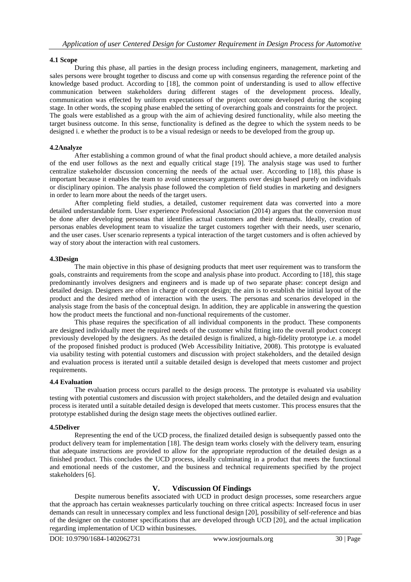## **4.1 Scope**

During this phase, all parties in the design process including engineers, management, marketing and sales persons were brought together to discuss and come up with consensus regarding the reference point of the knowledge based product. According to [18], the common point of understanding is used to allow effective communication between stakeholders during different stages of the development process. Ideally, communication was effected by uniform expectations of the project outcome developed during the scoping stage. In other words, the scoping phase enabled the setting of overarching goals and constraints for the project. The goals were established as a group with the aim of achieving desired functionality, while also meeting the target business outcome. In this sense, functionality is defined as the degree to which the system needs to be designed i. e whether the product is to be a visual redesign or needs to be developed from the group up.

### **4.2Analyze**

After establishing a common ground of what the final product should achieve, a more detailed analysis of the end user follows as the next and equally critical stage [19]. The analysis stage was used to further centralize stakeholder discussion concerning the needs of the actual user. According to [18], this phase is important because it enables the team to avoid unnecessary arguments over design based purely on individuals or disciplinary opinion. The analysis phase followed the completion of field studies in marketing and designers in order to learn more about the needs of the target users.

After completing field studies, a detailed, customer requirement data was converted into a more detailed understandable form. User experience Professional Association (2014) argues that the conversion must be done after developing personas that identifies actual customers and their demands. Ideally, creation of personas enables development team to visualize the target customers together with their needs, user scenario, and the user cases. User scenario represents a typical interaction of the target customers and is often achieved by way of story about the interaction with real customers.

### **4.3Design**

The main objective in this phase of designing products that meet user requirement was to transform the goals, constraints and requirements from the scope and analysis phase into product. According to [18], this stage predominantly involves designers and engineers and is made up of two separate phase: concept design and detailed design. Designers are often in charge of concept design; the aim is to establish the initial layout of the product and the desired method of interaction with the users. The personas and scenarios developed in the analysis stage from the basis of the conceptual design. In addition, they are applicable in answering the question how the product meets the functional and non-functional requirements of the customer.

This phase requires the specification of all individual components in the product. These components are designed individually meet the required needs of the customer whilst fitting into the overall product concept previously developed by the designers. As the detailed design is finalized, a high-fidelity prototype i.e. a model of the proposed finished product is produced (Web Accessibility Initiative, 2008). This prototype is evaluated via usability testing with potential customers and discussion with project stakeholders, and the detailed design and evaluation process is iterated until a suitable detailed design is developed that meets customer and project requirements.

### **4.4 Evaluation**

The evaluation process occurs parallel to the design process. The prototype is evaluated via usability testing with potential customers and discussion with project stakeholders, and the detailed design and evaluation process is iterated until a suitable detailed design is developed that meets customer. This process ensures that the prototype established during the design stage meets the objectives outlined earlier.

### **4.5Deliver**

Representing the end of the UCD process, the finalized detailed design is subsequently passed onto the product delivery team for implementation [18]. The design team works closely with the delivery team, ensuring that adequate instructions are provided to allow for the appropriate reproduction of the detailed design as a finished product. This concludes the UCD process, ideally culminating in a product that meets the functional and emotional needs of the customer, and the business and technical requirements specified by the project stakeholders [6].

## **V. Vdiscussion Of Findings**

Despite numerous benefits associated with UCD in product design processes, some researchers argue that the approach has certain weaknesses particularly touching on three critical aspects: Increased focus in user demands can result in unnecessary complex and less functional design [20], possibility of self-reference and bias of the designer on the customer specifications that are developed through UCD [20], and the actual implication regarding implementation of UCD within businesses.